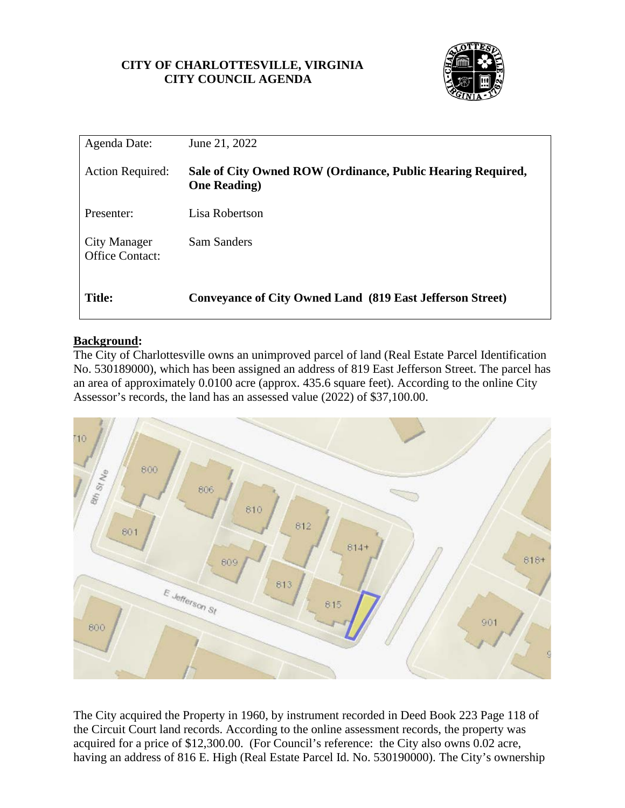## **CITY OF CHARLOTTESVILLE, VIRGINIA CITY COUNCIL AGENDA**



| Agenda Date:                           | June 21, 2022                                                                       |
|----------------------------------------|-------------------------------------------------------------------------------------|
| <b>Action Required:</b>                | Sale of City Owned ROW (Ordinance, Public Hearing Required,<br><b>One Reading</b> ) |
| Presenter:                             | Lisa Robertson                                                                      |
| City Manager<br><b>Office Contact:</b> | Sam Sanders                                                                         |
| <b>Title:</b>                          | <b>Conveyance of City Owned Land (819 East Jefferson Street)</b>                    |

## **Background:**

The City of Charlottesville owns an unimproved parcel of land (Real Estate Parcel Identification No. 530189000), which has been assigned an address of 819 East Jefferson Street. The parcel has an area of approximately 0.0100 acre (approx. 435.6 square feet). According to the online City Assessor's records, the land has an assessed value (2022) of \$37,100.00.



The City acquired the Property in 1960, by instrument recorded in Deed Book 223 Page 118 of the Circuit Court land records. According to the online assessment records, the property was acquired for a price of \$12,300.00. (For Council's reference: the City also owns 0.02 acre, having an address of 816 E. High (Real Estate Parcel Id. No. 530190000). The City's ownership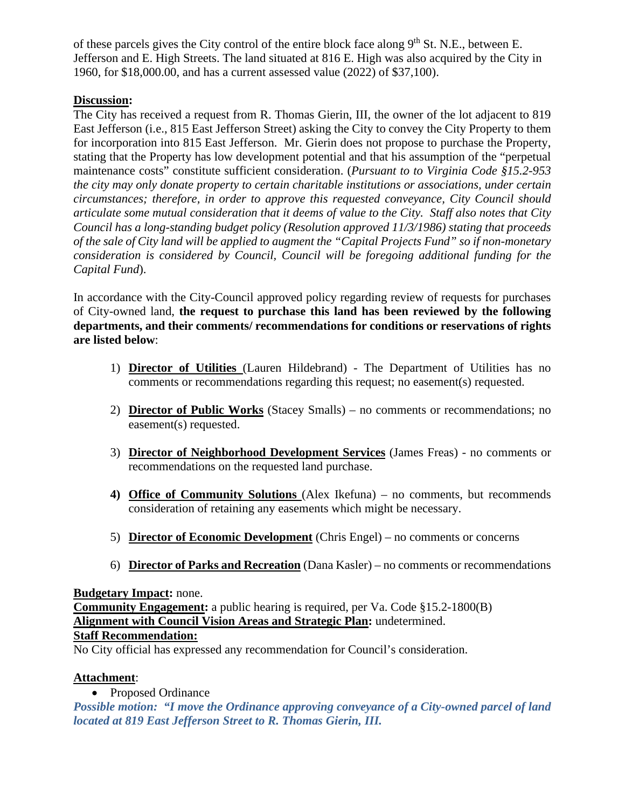of these parcels gives the City control of the entire block face along  $9<sup>th</sup>$  St. N.E., between E. Jefferson and E. High Streets. The land situated at 816 E. High was also acquired by the City in 1960, for \$18,000.00, and has a current assessed value (2022) of \$37,100).

# **Discussion:**

The City has received a request from R. Thomas Gierin, III, the owner of the lot adjacent to 819 East Jefferson (i.e., 815 East Jefferson Street) asking the City to convey the City Property to them for incorporation into 815 East Jefferson. Mr. Gierin does not propose to purchase the Property, stating that the Property has low development potential and that his assumption of the "perpetual maintenance costs" constitute sufficient consideration. (*Pursuant to to Virginia Code §15.2-953 the city may only donate property to certain charitable institutions or associations, under certain circumstances; therefore, in order to approve this requested conveyance, City Council should articulate some mutual consideration that it deems of value to the City. Staff also notes that City Council has a long-standing budget policy (Resolution approved 11/3/1986) stating that proceeds of the sale of City land will be applied to augment the "Capital Projects Fund" so if non-monetary consideration is considered by Council, Council will be foregoing additional funding for the Capital Fund*).

In accordance with the City-Council approved policy regarding review of requests for purchases of City-owned land, **the request to purchase this land has been reviewed by the following departments, and their comments/ recommendations for conditions or reservations of rights are listed below**:

- 1) **Director of Utilities** (Lauren Hildebrand) The Department of Utilities has no comments or recommendations regarding this request; no easement(s) requested.
- 2) **Director of Public Works** (Stacey Smalls) no comments or recommendations; no easement(s) requested.
- 3) **Director of Neighborhood Development Services** (James Freas) no comments or recommendations on the requested land purchase.
- **4) Office of Community Solutions** (Alex Ikefuna) no comments, but recommends consideration of retaining any easements which might be necessary.
- 5) **Director of Economic Development** (Chris Engel) no comments or concerns
- 6) **Director of Parks and Recreation** (Dana Kasler) no comments or recommendations

### **Budgetary Impact:** none.

**Community Engagement:** a public hearing is required, per Va. Code §15.2-1800(B) **Alignment with Council Vision Areas and Strategic Plan:** undetermined. **Staff Recommendation:**

No City official has expressed any recommendation for Council's consideration.

## **Attachment**:

• Proposed Ordinance

*Possible motion: "I move the Ordinance approving conveyance of a City-owned parcel of land located at 819 East Jefferson Street to R. Thomas Gierin, III.*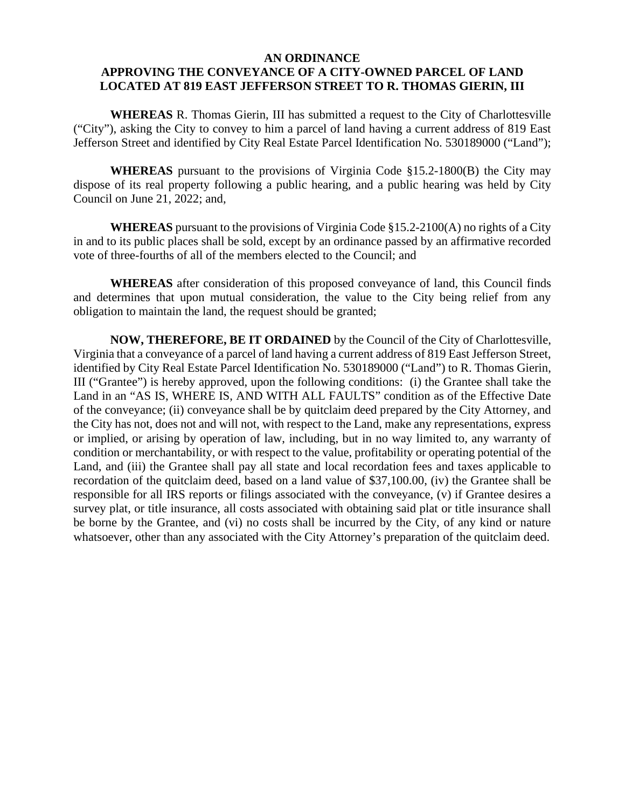#### **AN ORDINANCE**

# **APPROVING THE CONVEYANCE OF A CITY-OWNED PARCEL OF LAND LOCATED AT 819 EAST JEFFERSON STREET TO R. THOMAS GIERIN, III**

**WHEREAS** R. Thomas Gierin, III has submitted a request to the City of Charlottesville ("City"), asking the City to convey to him a parcel of land having a current address of 819 East Jefferson Street and identified by City Real Estate Parcel Identification No. 530189000 ("Land");

**WHEREAS** pursuant to the provisions of Virginia Code §15.2-1800(B) the City may dispose of its real property following a public hearing, and a public hearing was held by City Council on June 21, 2022; and,

**WHEREAS** pursuant to the provisions of Virginia Code §15.2-2100(A) no rights of a City in and to its public places shall be sold, except by an ordinance passed by an affirmative recorded vote of three-fourths of all of the members elected to the Council; and

**WHEREAS** after consideration of this proposed conveyance of land, this Council finds and determines that upon mutual consideration, the value to the City being relief from any obligation to maintain the land, the request should be granted;

**NOW, THEREFORE, BE IT ORDAINED** by the Council of the City of Charlottesville, Virginia that a conveyance of a parcel of land having a current address of 819 East Jefferson Street, identified by City Real Estate Parcel Identification No. 530189000 ("Land") to R. Thomas Gierin, III ("Grantee") is hereby approved, upon the following conditions: (i) the Grantee shall take the Land in an "AS IS, WHERE IS, AND WITH ALL FAULTS" condition as of the Effective Date of the conveyance; (ii) conveyance shall be by quitclaim deed prepared by the City Attorney, and the City has not, does not and will not, with respect to the Land, make any representations, express or implied, or arising by operation of law, including, but in no way limited to, any warranty of condition or merchantability, or with respect to the value, profitability or operating potential of the Land, and (iii) the Grantee shall pay all state and local recordation fees and taxes applicable to recordation of the quitclaim deed, based on a land value of \$37,100.00, (iv) the Grantee shall be responsible for all IRS reports or filings associated with the conveyance, (v) if Grantee desires a survey plat, or title insurance, all costs associated with obtaining said plat or title insurance shall be borne by the Grantee, and (vi) no costs shall be incurred by the City, of any kind or nature whatsoever, other than any associated with the City Attorney's preparation of the quitclaim deed.